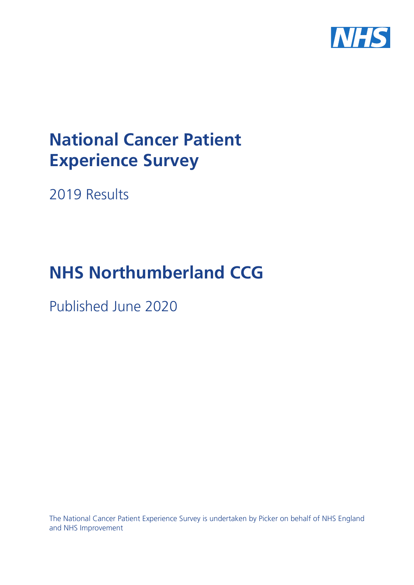

# **National Cancer Patient Experience Survey**

2019 Results

# **NHS Northumberland CCG**

Published June 2020

The National Cancer Patient Experience Survey is undertaken by Picker on behalf of NHS England and NHS Improvement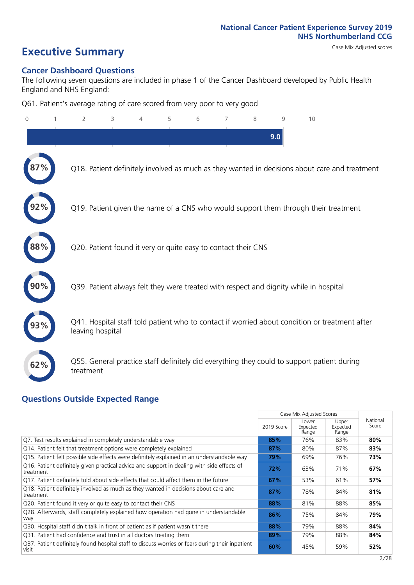# **Executive Summary** Case Mix Adjusted scores

### **Cancer Dashboard Questions**

The following seven questions are included in phase 1 of the Cancer Dashboard developed by Public Health England and NHS England:

Q61. Patient's average rating of care scored from very poor to very good

| $\overline{0}$ | 2                                                             | 3 | 4 | 5 | 6 | 7 | 8 | $\mathsf{Q}$ | 10                                                                                            |  |
|----------------|---------------------------------------------------------------|---|---|---|---|---|---|--------------|-----------------------------------------------------------------------------------------------|--|
|                |                                                               |   |   |   |   |   |   | 9.0          |                                                                                               |  |
|                |                                                               |   |   |   |   |   |   |              | Q18. Patient definitely involved as much as they wanted in decisions about care and treatment |  |
|                |                                                               |   |   |   |   |   |   |              | Q19. Patient given the name of a CNS who would support them through their treatment           |  |
| 88%            | Q20. Patient found it very or quite easy to contact their CNS |   |   |   |   |   |   |              |                                                                                               |  |
|                |                                                               |   |   |   |   |   |   |              | Q39. Patient always felt they were treated with respect and dignity while in hospital         |  |
|                | leaving hospital                                              |   |   |   |   |   |   |              | Q41. Hospital staff told patient who to contact if worried about condition or treatment after |  |
| 62%            | treatment                                                     |   |   |   |   |   |   |              | Q55. General practice staff definitely did everything they could to support patient during    |  |

## **Questions Outside Expected Range**

|                                                                                                          |            | Case Mix Adjusted Scores   |                            |                   |
|----------------------------------------------------------------------------------------------------------|------------|----------------------------|----------------------------|-------------------|
|                                                                                                          | 2019 Score | Lower<br>Expected<br>Range | Upper<br>Expected<br>Range | National<br>Score |
| Q7. Test results explained in completely understandable way                                              | 85%        | 76%                        | 83%                        | 80%               |
| Q14. Patient felt that treatment options were completely explained                                       | 87%        | 80%                        | 87%                        | 83%               |
| Q15. Patient felt possible side effects were definitely explained in an understandable way               | 79%        | 69%                        | 76%                        | 73%               |
| Q16. Patient definitely given practical advice and support in dealing with side effects of<br>treatment  | 72%        | 63%                        | 71%                        | 67%               |
| Q17. Patient definitely told about side effects that could affect them in the future                     | 67%        | 53%                        | 61%                        | 57%               |
| Q18. Patient definitely involved as much as they wanted in decisions about care and<br>treatment         | 87%        | 78%                        | 84%                        | 81%               |
| Q20. Patient found it very or quite easy to contact their CNS                                            | 88%        | 81%                        | 88%                        | 85%               |
| Q28. Afterwards, staff completely explained how operation had gone in understandable<br>way              | 86%        | 75%                        | 84%                        | 79%               |
| Q30. Hospital staff didn't talk in front of patient as if patient wasn't there                           | 88%        | 79%                        | 88%                        | 84%               |
| Q31. Patient had confidence and trust in all doctors treating them                                       | 89%        | 79%                        | 88%                        | 84%               |
| Q37. Patient definitely found hospital staff to discuss worries or fears during their inpatient<br>visit | 60%        | 45%                        | 59%                        | 52%               |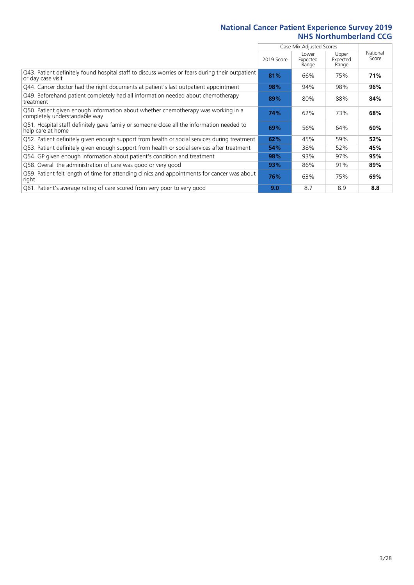|                                                                                                                        |            | Case Mix Adjusted Scores   |                            |                   |
|------------------------------------------------------------------------------------------------------------------------|------------|----------------------------|----------------------------|-------------------|
|                                                                                                                        | 2019 Score | Lower<br>Expected<br>Range | Upper<br>Expected<br>Range | National<br>Score |
| [943] Patient definitely found hospital staff to discuss worries or fears during their outpatient<br>or day case visit | 81%        | 66%                        | 75%                        | 71%               |
| Q44. Cancer doctor had the right documents at patient's last outpatient appointment                                    | 98%        | 94%                        | 98%                        | 96%               |
| Q49. Beforehand patient completely had all information needed about chemotherapy<br>treatment                          | 89%        | 80%                        | 88%                        | 84%               |
| Q50. Patient given enough information about whether chemotherapy was working in a<br>completely understandable way     | 74%        | 62%                        | 73%                        | 68%               |
| Q51. Hospital staff definitely gave family or someone close all the information needed to<br>help care at home         | 69%        | 56%                        | 64%                        | 60%               |
| Q52. Patient definitely given enough support from health or social services during treatment                           | 62%        | 45%                        | 59%                        | 52%               |
| Q53. Patient definitely given enough support from health or social services after treatment                            | 54%        | 38%                        | 52%                        | 45%               |
| Q54. GP given enough information about patient's condition and treatment                                               | 98%        | 93%                        | 97%                        | 95%               |
| Q58. Overall the administration of care was good or very good                                                          | 93%        | 86%                        | 91%                        | 89%               |
| Q59. Patient felt length of time for attending clinics and appointments for cancer was about<br>right                  | 76%        | 63%                        | 75%                        | 69%               |
| Q61. Patient's average rating of care scored from very poor to very good                                               | 9.0        | 8.7                        | 8.9                        | 8.8               |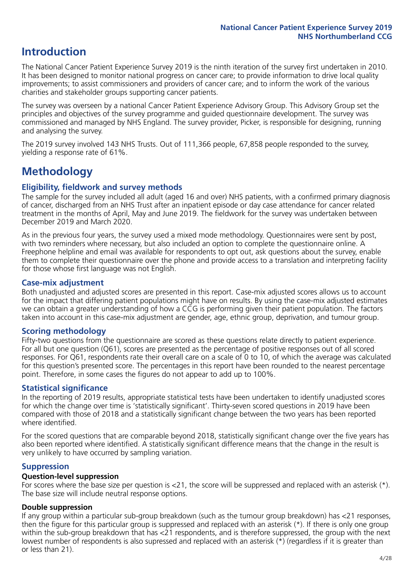# **Introduction**

The National Cancer Patient Experience Survey 2019 is the ninth iteration of the survey first undertaken in 2010. It has been designed to monitor national progress on cancer care; to provide information to drive local quality improvements; to assist commissioners and providers of cancer care; and to inform the work of the various charities and stakeholder groups supporting cancer patients.

The survey was overseen by a national Cancer Patient Experience Advisory Group. This Advisory Group set the principles and objectives of the survey programme and guided questionnaire development. The survey was commissioned and managed by NHS England. The survey provider, Picker, is responsible for designing, running and analysing the survey.

The 2019 survey involved 143 NHS Trusts. Out of 111,366 people, 67,858 people responded to the survey, yielding a response rate of 61%.

# **Methodology**

### **Eligibility, fieldwork and survey methods**

The sample for the survey included all adult (aged 16 and over) NHS patients, with a confirmed primary diagnosis of cancer, discharged from an NHS Trust after an inpatient episode or day case attendance for cancer related treatment in the months of April, May and June 2019. The fieldwork for the survey was undertaken between December 2019 and March 2020.

As in the previous four years, the survey used a mixed mode methodology. Questionnaires were sent by post, with two reminders where necessary, but also included an option to complete the questionnaire online. A Freephone helpline and email was available for respondents to opt out, ask questions about the survey, enable them to complete their questionnaire over the phone and provide access to a translation and interpreting facility for those whose first language was not English.

### **Case-mix adjustment**

Both unadjusted and adjusted scores are presented in this report. Case-mix adjusted scores allows us to account for the impact that differing patient populations might have on results. By using the case-mix adjusted estimates we can obtain a greater understanding of how a CCG is performing given their patient population. The factors taken into account in this case-mix adjustment are gender, age, ethnic group, deprivation, and tumour group.

## **Scoring methodology**

Fifty-two questions from the questionnaire are scored as these questions relate directly to patient experience. For all but one question (Q61), scores are presented as the percentage of positive responses out of all scored responses. For Q61, respondents rate their overall care on a scale of 0 to 10, of which the average was calculated for this question's presented score. The percentages in this report have been rounded to the nearest percentage point. Therefore, in some cases the figures do not appear to add up to 100%.

### **Statistical significance**

In the reporting of 2019 results, appropriate statistical tests have been undertaken to identify unadjusted scores for which the change over time is 'statistically significant'. Thirty-seven scored questions in 2019 have been compared with those of 2018 and a statistically significant change between the two years has been reported where identified.

For the scored questions that are comparable beyond 2018, statistically significant change over the five years has also been reported where identified. A statistically significant difference means that the change in the result is very unlikely to have occurred by sampling variation.

### **Suppression**

### **Question-level suppression**

For scores where the base size per question is  $<$ 21, the score will be suppressed and replaced with an asterisk (\*). The base size will include neutral response options.

### **Double suppression**

If any group within a particular sub-group breakdown (such as the tumour group breakdown) has <21 responses, then the figure for this particular group is suppressed and replaced with an asterisk (\*). If there is only one group within the sub-group breakdown that has <21 respondents, and is therefore suppressed, the group with the next lowest number of respondents is also supressed and replaced with an asterisk (\*) (regardless if it is greater than or less than 21).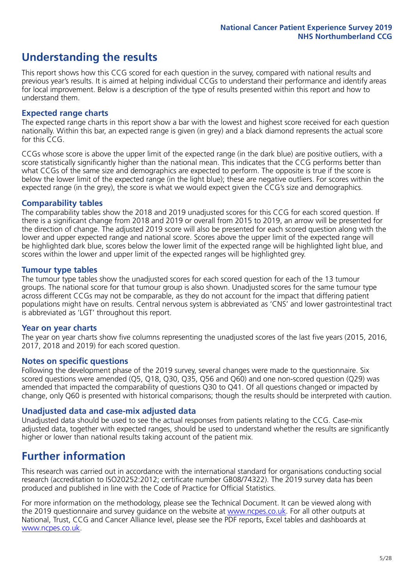# **Understanding the results**

This report shows how this CCG scored for each question in the survey, compared with national results and previous year's results. It is aimed at helping individual CCGs to understand their performance and identify areas for local improvement. Below is a description of the type of results presented within this report and how to understand them.

### **Expected range charts**

The expected range charts in this report show a bar with the lowest and highest score received for each question nationally. Within this bar, an expected range is given (in grey) and a black diamond represents the actual score for this CCG.

CCGs whose score is above the upper limit of the expected range (in the dark blue) are positive outliers, with a score statistically significantly higher than the national mean. This indicates that the CCG performs better than what CCGs of the same size and demographics are expected to perform. The opposite is true if the score is below the lower limit of the expected range (in the light blue); these are negative outliers. For scores within the expected range (in the grey), the score is what we would expect given the CCG's size and demographics.

### **Comparability tables**

The comparability tables show the 2018 and 2019 unadjusted scores for this CCG for each scored question. If there is a significant change from 2018 and 2019 or overall from 2015 to 2019, an arrow will be presented for the direction of change. The adjusted 2019 score will also be presented for each scored question along with the lower and upper expected range and national score. Scores above the upper limit of the expected range will be highlighted dark blue, scores below the lower limit of the expected range will be highlighted light blue, and scores within the lower and upper limit of the expected ranges will be highlighted grey.

### **Tumour type tables**

The tumour type tables show the unadjusted scores for each scored question for each of the 13 tumour groups. The national score for that tumour group is also shown. Unadjusted scores for the same tumour type across different CCGs may not be comparable, as they do not account for the impact that differing patient populations might have on results. Central nervous system is abbreviated as 'CNS' and lower gastrointestinal tract is abbreviated as 'LGT' throughout this report.

### **Year on year charts**

The year on year charts show five columns representing the unadjusted scores of the last five years (2015, 2016, 2017, 2018 and 2019) for each scored question.

### **Notes on specific questions**

Following the development phase of the 2019 survey, several changes were made to the questionnaire. Six scored questions were amended (Q5, Q18, Q30, Q35, Q56 and Q60) and one non-scored question (Q29) was amended that impacted the comparability of questions Q30 to Q41. Of all questions changed or impacted by change, only Q60 is presented with historical comparisons; though the results should be interpreted with caution.

### **Unadjusted data and case-mix adjusted data**

Unadjusted data should be used to see the actual responses from patients relating to the CCG. Case-mix adjusted data, together with expected ranges, should be used to understand whether the results are significantly higher or lower than national results taking account of the patient mix.

# **Further information**

This research was carried out in accordance with the international standard for organisations conducting social research (accreditation to ISO20252:2012; certificate number GB08/74322). The 2019 survey data has been produced and published in line with the Code of Practice for Official Statistics.

For more information on the methodology, please see the Technical Document. It can be viewed along with the 2019 questionnaire and survey quidance on the website at [www.ncpes.co.uk](https://www.ncpes.co.uk/supporting-documents). For all other outputs at National, Trust, CCG and Cancer Alliance level, please see the PDF reports, Excel tables and dashboards at [www.ncpes.co.uk.](https://www.ncpes.co.uk/current-results)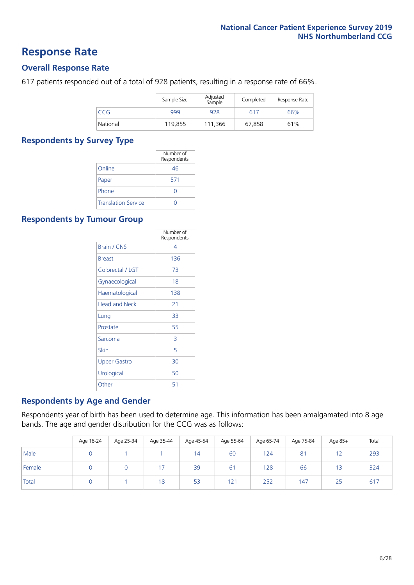# **Response Rate**

### **Overall Response Rate**

617 patients responded out of a total of 928 patients, resulting in a response rate of 66%.

|          | Sample Size | Adjusted<br>Sample | Completed | Response Rate |
|----------|-------------|--------------------|-----------|---------------|
| CCG      | 999         | 928                | 617       | 66%           |
| National | 119,855     | 111.366            | 67,858    | 61%           |

### **Respondents by Survey Type**

|                            | Number of<br>Respondents |
|----------------------------|--------------------------|
| Online                     | 46                       |
| Paper                      | 571                      |
| Phone                      |                          |
| <b>Translation Service</b> |                          |

### **Respondents by Tumour Group**

|                      | Number of<br>Respondents |
|----------------------|--------------------------|
| <b>Brain / CNS</b>   | 4                        |
| <b>Breast</b>        | 136                      |
| Colorectal / LGT     | 73                       |
| Gynaecological       | 18                       |
| Haematological       | 138                      |
| <b>Head and Neck</b> | 21                       |
| Lung                 | 33                       |
| Prostate             | 55                       |
| Sarcoma              | 3                        |
| Skin                 | 5                        |
| Upper Gastro         | 30                       |
| Urological           | 50                       |
| Other                | 51                       |

### **Respondents by Age and Gender**

Respondents year of birth has been used to determine age. This information has been amalgamated into 8 age bands. The age and gender distribution for the CCG was as follows:

|        | Age 16-24 | Age 25-34 | Age 35-44 | Age 45-54 | Age 55-64 | Age 65-74 | Age 75-84      | Age 85+ | Total |
|--------|-----------|-----------|-----------|-----------|-----------|-----------|----------------|---------|-------|
| Male   |           |           |           | 14        | 60        | 124       | 8 <sup>1</sup> | 12      | 293   |
| Female |           |           |           | 39        | 61        | 128       | 66             | 13      | 324   |
| Total  |           |           | 18        | 53        | 121       | 252       | 147            | 25      | 617   |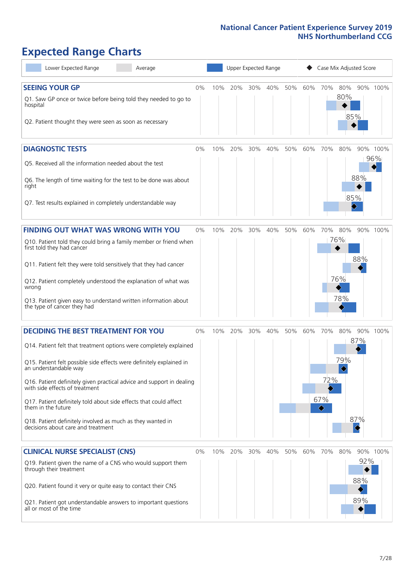# **Expected Range Charts**

| Lower Expected Range<br>Average                                                                         | Upper Expected Range<br>Case Mix Adjusted Score |     |         |     |         |     |     |          |                   |                   |                 |
|---------------------------------------------------------------------------------------------------------|-------------------------------------------------|-----|---------|-----|---------|-----|-----|----------|-------------------|-------------------|-----------------|
| <b>SEEING YOUR GP</b>                                                                                   | 0%                                              | 10% | 20%     |     | 30% 40% | 50% | 60% | 70%      | 80%               |                   | 90% 100%        |
| Q1. Saw GP once or twice before being told they needed to go to<br>hospital                             |                                                 |     |         |     |         |     |     |          | 80%<br>85%        |                   |                 |
| Q2. Patient thought they were seen as soon as necessary                                                 |                                                 |     |         |     |         |     |     |          |                   |                   |                 |
| <b>DIAGNOSTIC TESTS</b>                                                                                 | 0%                                              | 10% | 20%     | 30% | 40%     | 50% | 60% | 70%      | 80%               |                   | 90% 100%<br>96% |
| Q5. Received all the information needed about the test                                                  |                                                 |     |         |     |         |     |     |          |                   |                   |                 |
| Q6. The length of time waiting for the test to be done was about<br>right                               |                                                 |     |         |     |         |     |     |          |                   | 88%<br>85%        |                 |
| Q7. Test results explained in completely understandable way                                             |                                                 |     |         |     |         |     |     |          |                   |                   |                 |
| <b>FINDING OUT WHAT WAS WRONG WITH YOU</b>                                                              | $0\%$                                           | 10% | 20%     | 30% | 40%     | 50% | 60% | 70%      | 80%               |                   | 90% 100%        |
| Q10. Patient told they could bring a family member or friend when<br>first told they had cancer         |                                                 |     |         |     |         |     |     |          | 76%               |                   |                 |
| Q11. Patient felt they were told sensitively that they had cancer                                       |                                                 |     |         |     |         |     |     |          |                   | 88%               |                 |
| Q12. Patient completely understood the explanation of what was<br>wrong                                 |                                                 |     |         |     |         |     |     |          | 76%               |                   |                 |
| Q13. Patient given easy to understand written information about<br>the type of cancer they had          |                                                 |     |         |     |         |     |     |          | 78%               |                   |                 |
| <b>DECIDING THE BEST TREATMENT FOR YOU</b>                                                              | 0%                                              | 10% | 20%     | 30% | 40%     | 50% | 60% | 70%      | 80%               | 90%               | 100%            |
| Q14. Patient felt that treatment options were completely explained                                      |                                                 |     |         |     |         |     |     |          |                   | 87%               |                 |
| Q15. Patient felt possible side effects were definitely explained in<br>an understandable way           |                                                 |     |         |     |         |     |     |          | 79%<br>$\Diamond$ |                   |                 |
| Q16. Patient definitely given practical advice and support in dealing<br>with side effects of treatment |                                                 |     |         |     |         |     |     | 72%      |                   |                   |                 |
| Q17. Patient definitely told about side effects that could affect<br>them in the future                 |                                                 |     |         |     |         |     |     | 67%<br>♦ |                   |                   |                 |
| Q18. Patient definitely involved as much as they wanted in<br>decisions about care and treatment        |                                                 |     |         |     |         |     |     |          |                   | 87%<br>$\Diamond$ |                 |
| <b>CLINICAL NURSE SPECIALIST (CNS)</b>                                                                  | 0%                                              |     | 10% 20% | 30% | 40%     | 50% | 60% | 70%      | 80%               |                   | 90% 100%        |
| Q19. Patient given the name of a CNS who would support them<br>through their treatment                  |                                                 |     |         |     |         |     |     |          |                   | 92%<br>88%        |                 |
| Q20. Patient found it very or quite easy to contact their CNS                                           |                                                 |     |         |     |         |     |     |          |                   | 89%               |                 |
| Q21. Patient got understandable answers to important questions<br>all or most of the time               |                                                 |     |         |     |         |     |     |          |                   |                   |                 |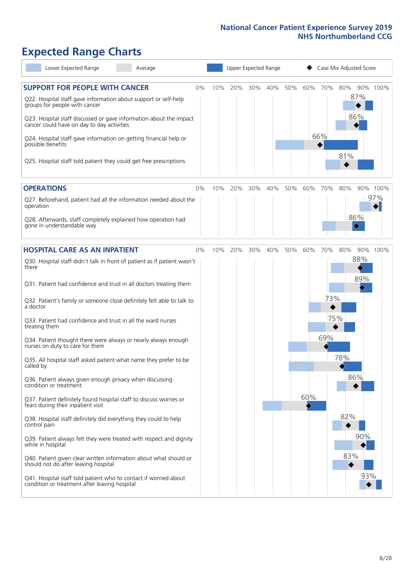# **Expected Range Charts**

| Lower Expected Range<br>Average                                                                                                                                                                                                                                                                                                                                                                                                                                                                                                                                                                                                                                                                                                                                                                                                                                                                                                                                                                                                                                                                                                           |     | Upper Expected Range | Case Mix Adjusted Score                                                          |
|-------------------------------------------------------------------------------------------------------------------------------------------------------------------------------------------------------------------------------------------------------------------------------------------------------------------------------------------------------------------------------------------------------------------------------------------------------------------------------------------------------------------------------------------------------------------------------------------------------------------------------------------------------------------------------------------------------------------------------------------------------------------------------------------------------------------------------------------------------------------------------------------------------------------------------------------------------------------------------------------------------------------------------------------------------------------------------------------------------------------------------------------|-----|----------------------|----------------------------------------------------------------------------------|
| <b>SUPPORT FOR PEOPLE WITH CANCER</b><br>0%<br>Q22. Hospital staff gave information about support or self-help<br>groups for people with cancer<br>Q23. Hospital staff discussed or gave information about the impact<br>cancer could have on day to day activities<br>Q24. Hospital staff gave information on getting financial help or<br>possible benefits<br>Q25. Hospital staff told patient they could get free prescriptions                                                                                                                                                                                                                                                                                                                                                                                                                                                                                                                                                                                                                                                                                                       | 10% | 40%<br>20%<br>30%    | 70%<br>50%<br>60%<br>80%<br>90% 100%<br>87%<br>86%<br>66%<br>81%                 |
| <b>OPERATIONS</b><br>0%                                                                                                                                                                                                                                                                                                                                                                                                                                                                                                                                                                                                                                                                                                                                                                                                                                                                                                                                                                                                                                                                                                                   | 10% | 20%<br>30%<br>40%    | 50%<br>60%<br>70%<br>80%<br>90% 100%                                             |
| Q27. Beforehand, patient had all the information needed about the<br>operation<br>Q28. Afterwards, staff completely explained how operation had<br>gone in understandable way                                                                                                                                                                                                                                                                                                                                                                                                                                                                                                                                                                                                                                                                                                                                                                                                                                                                                                                                                             |     |                      | 97%<br>86%<br>♦                                                                  |
| <b>HOSPITAL CARE AS AN INPATIENT</b><br>0%                                                                                                                                                                                                                                                                                                                                                                                                                                                                                                                                                                                                                                                                                                                                                                                                                                                                                                                                                                                                                                                                                                | 10% | 20%<br>30%<br>40%    | 50%<br>60%<br>70%<br>80%<br>90% 100%                                             |
| Q30. Hospital staff didn't talk in front of patient as if patient wasn't<br>there<br>Q31. Patient had confidence and trust in all doctors treating them<br>Q32. Patient's family or someone close definitely felt able to talk to<br>a doctor<br>Q33. Patient had confidence and trust in all the ward nurses<br>treating them<br>Q34. Patient thought there were always or nearly always enough<br>nurses on duty to care for them<br>Q35. All hospital staff asked patient what name they prefer to be<br>called by<br>Q36. Patient always given enough privacy when discussing<br>condition or treatment<br>Q37. Patient definitely found hospital staff to discuss worries or<br>fears during their inpatient visit<br>Q38. Hospital staff definitely did everything they could to help<br>control pain<br>Q39. Patient always felt they were treated with respect and dignity<br>while in hospital<br>Q40. Patient given clear written information about what should or<br>should not do after leaving hospital<br>Q41. Hospital staff told patient who to contact if worried about<br>condition or treatment after leaving hospital |     |                      | 88%<br>89%<br>73%<br>75%<br>69%<br>78%<br>86%<br>60%<br>82%<br>90%<br>83%<br>93% |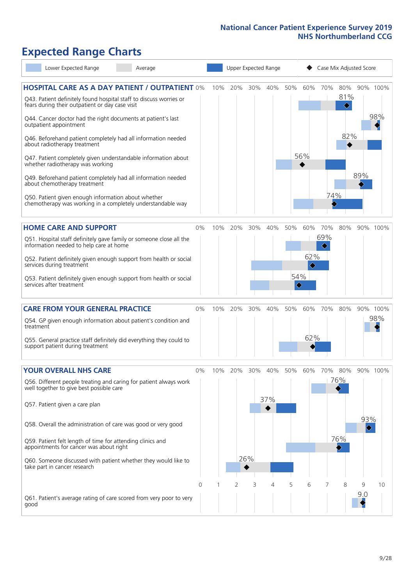# **Expected Range Charts**

| Lower Expected Range<br>Average                                                                                       |          |     | Upper Expected Range |     |     | Case Mix Adjusted Score |          |     |     |                                     |          |
|-----------------------------------------------------------------------------------------------------------------------|----------|-----|----------------------|-----|-----|-------------------------|----------|-----|-----|-------------------------------------|----------|
| <b>HOSPITAL CARE AS A DAY PATIENT / OUTPATIENT 0%</b>                                                                 |          | 10% | 20%                  | 30% | 40% | 50%                     | 60%      | 70% | 80% |                                     | 90% 100% |
| Q43. Patient definitely found hospital staff to discuss worries or<br>fears during their outpatient or day case visit |          |     |                      |     |     |                         |          |     | 81% |                                     |          |
| Q44. Cancer doctor had the right documents at patient's last<br>outpatient appointment                                |          |     |                      |     |     |                         |          |     |     |                                     | 98%      |
| Q46. Beforehand patient completely had all information needed<br>about radiotherapy treatment                         |          |     |                      |     |     |                         |          |     | 82% |                                     |          |
| Q47. Patient completely given understandable information about<br>whether radiotherapy was working                    |          |     |                      |     |     |                         | 56%<br>◆ |     |     |                                     |          |
| Q49. Beforehand patient completely had all information needed<br>about chemotherapy treatment                         |          |     |                      |     |     |                         |          |     |     | 89%                                 |          |
| Q50. Patient given enough information about whether<br>chemotherapy was working in a completely understandable way    |          |     |                      |     |     |                         |          | 74% |     |                                     |          |
| <b>HOME CARE AND SUPPORT</b>                                                                                          | 0%       | 10% | 20%                  | 30% | 40% | 50%                     | 60%      | 70% | 80% |                                     | 90% 100% |
| Q51. Hospital staff definitely gave family or someone close all the<br>information needed to help care at home        |          |     |                      |     |     |                         |          | 69% |     |                                     |          |
| Q52. Patient definitely given enough support from health or social<br>services during treatment                       |          |     |                      |     |     |                         | 62%<br>♦ |     |     |                                     |          |
| Q53. Patient definitely given enough support from health or social<br>services after treatment                        |          |     |                      |     |     | 54%<br>$\Diamond$       |          |     |     |                                     |          |
| <b>CARE FROM YOUR GENERAL PRACTICE</b>                                                                                | 0%       | 10% | 20%                  | 30% | 40% | 50%                     | 60%      | 70% | 80% |                                     | 90% 100% |
| Q54. GP given enough information about patient's condition and<br>treatment                                           |          |     |                      |     |     |                         |          |     |     |                                     | 98%      |
| Q55. General practice staff definitely did everything they could to<br>support patient during treatment               |          |     |                      |     |     |                         | 62%      |     |     |                                     |          |
| <b>YOUR OVERALL NHS CARE</b>                                                                                          | 0%       | 10% | 20%                  | 30% | 40% | 50%                     | 60%      | 70% | 80% |                                     | 90% 100% |
| Q56. Different people treating and caring for patient always work<br>well together to give best possible care         |          |     |                      |     |     |                         |          |     | 76% |                                     |          |
| Q57. Patient given a care plan                                                                                        |          |     |                      |     | 37% |                         |          |     |     |                                     |          |
| Q58. Overall the administration of care was good or very good                                                         |          |     |                      |     |     |                         |          |     |     | 93%<br>$\color{black} \diamondsuit$ |          |
| Q59. Patient felt length of time for attending clinics and<br>appointments for cancer was about right                 |          |     |                      |     |     |                         |          |     | 76% |                                     |          |
| Q60. Someone discussed with patient whether they would like to<br>take part in cancer research                        |          |     |                      | 26% |     |                         |          |     |     |                                     |          |
|                                                                                                                       | $\Omega$ |     | 2                    | 3   | 4   | 5                       | 6        |     | 8   | 9                                   | 10       |
| Q61. Patient's average rating of care scored from very poor to very<br>good                                           |          |     |                      |     |     |                         |          |     |     | 9.0                                 |          |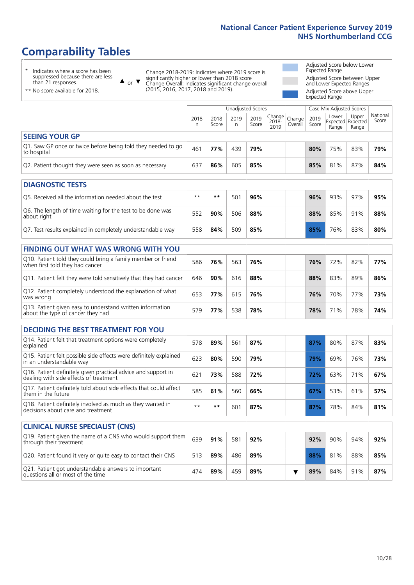# **Comparability Tables**

\* Indicates where a score has been suppressed because there are less than 21 responses.

\*\* No score available for 2018.

 $\triangle$  or  $\nabla$ 

Change 2018-2019: Indicates where 2019 score is significantly higher or lower than 2018 score Change Overall: Indicates significant change overall (2015, 2016, 2017, 2018 and 2019).

Adjusted Score below Lower Expected Range Adjusted Score between Upper and Lower Expected Ranges Adjusted Score above Upper Expected Range

|                                                                             |           |               | Unadjusted Scores |               |                                                    | Case Mix Adjusted Scores |               |                                     |                |                   |
|-----------------------------------------------------------------------------|-----------|---------------|-------------------|---------------|----------------------------------------------------|--------------------------|---------------|-------------------------------------|----------------|-------------------|
|                                                                             | 2018<br>n | 2018<br>Score | 2019<br>n.        | 2019<br>Score | $\sim$   Change   Change   $\sim$<br>2018-<br>2019 | Overall                  | 2019<br>Score | Lower<br>Expected Expected<br>Range | Upper<br>Range | National<br>Score |
| <b>SEEING YOUR GP</b>                                                       |           |               |                   |               |                                                    |                          |               |                                     |                |                   |
| Q1. Saw GP once or twice before being told they needed to go<br>to hospital | 461       | 77%           | 439               | 79%           |                                                    |                          | 80%           | 75%                                 | 83%            | 79%               |
| Q2. Patient thought they were seen as soon as necessary                     | 637       | 86%           | 605               | 85%           |                                                    |                          | 85%           | 81%                                 | 87%            | 84%               |
|                                                                             |           |               |                   |               |                                                    |                          |               |                                     |                |                   |

| <b>DIAGNOSTIC TESTS</b>                                                   |       |     |     |     |  |  |     |     |     |     |
|---------------------------------------------------------------------------|-------|-----|-----|-----|--|--|-----|-----|-----|-----|
| Q5. Received all the information needed about the test                    | $***$ | **  | 501 | 96% |  |  | 96% | 93% | 97% | 95% |
| Q6. The length of time waiting for the test to be done was<br>about right | 552   | 90% | 506 | 88% |  |  | 88% | 85% | 91% | 88% |
| Q7. Test results explained in completely understandable way               | 558   | 84% | 509 | 85% |  |  | 85% | 76% | 83% | 80% |

| <b>FINDING OUT WHAT WAS WRONG WITH YOU</b>                                                      |     |     |     |     |     |     |     |     |
|-------------------------------------------------------------------------------------------------|-----|-----|-----|-----|-----|-----|-----|-----|
| Q10. Patient told they could bring a family member or friend<br>when first told they had cancer | 586 | 76% | 563 | 76% | 76% | 72% | 82% | 77% |
| Q11. Patient felt they were told sensitively that they had cancer                               | 646 | 90% | 616 | 88% | 88% | 83% | 89% | 86% |
| Q12. Patient completely understood the explanation of what<br>was wrong                         | 653 | 77% | 615 | 76% | 76% | 70% | 77% | 73% |
| Q13. Patient given easy to understand written information<br>about the type of cancer they had  | 579 | 77% | 538 | 78% | 78% | 71% | 78% | 74% |

| <b>DECIDING THE BEST TREATMENT FOR YOU</b>                                                              |      |      |     |     |     |     |     |     |
|---------------------------------------------------------------------------------------------------------|------|------|-----|-----|-----|-----|-----|-----|
| Q14. Patient felt that treatment options were completely<br>explained                                   | 578  | 89%  | 561 | 87% | 87% | 80% | 87% | 83% |
| Q15. Patient felt possible side effects were definitely explained<br>in an understandable way           | 623  | 80%  | 590 | 79% | 79% | 69% | 76% | 73% |
| Q16. Patient definitely given practical advice and support in<br>dealing with side effects of treatment | 621  | 73%  | 588 | 72% | 72% | 63% | 71% | 67% |
| Q17. Patient definitely told about side effects that could affect<br>them in the future                 | 585  | 61%  | 560 | 66% | 67% | 53% | 61% | 57% |
| Q18. Patient definitely involved as much as they wanted in<br>decisions about care and treatment        | $**$ | $**$ | 601 | 87% | 87% | 78% | 84% | 81% |

| <b>CLINICAL NURSE SPECIALIST (CNS)</b>                                                    |     |     |     |     |  |     |     |     |     |
|-------------------------------------------------------------------------------------------|-----|-----|-----|-----|--|-----|-----|-----|-----|
| Q19. Patient given the name of a CNS who would support them<br>through their treatment    | 639 | 91% | 581 | 92% |  | 92% | 90% | 94% | 92% |
| Q20. Patient found it very or quite easy to contact their CNS                             | 513 | 89% | 486 | 89% |  | 88% | 81% | 88% | 85% |
| Q21. Patient got understandable answers to important<br>questions all or most of the time | 474 | 89% | 459 | 89% |  | 89% | 84% | 91% | 87% |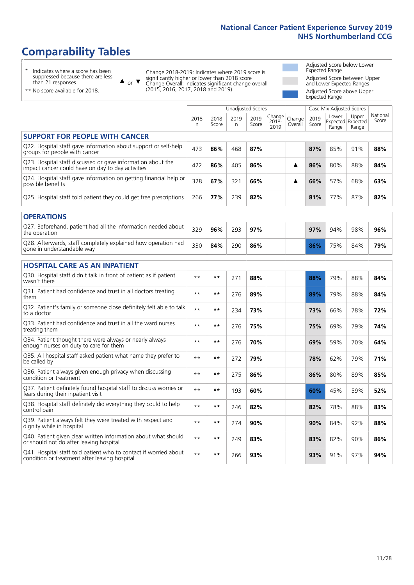# **Comparability Tables**

\* Indicates where a score has been suppressed because there are less than 21 responses.

\*\* No score available for 2018.

 $\triangle$  or  $\nabla$ 

Change 2018-2019: Indicates where 2019 score is significantly higher or lower than 2018 score Change Overall: Indicates significant change overall (2015, 2016, 2017, 2018 and 2019).

Adjusted Score below Lower Expected Range Adjusted Score between Upper and Lower Expected Ranges Adjusted Score above Upper Expected Range

|                                                                                                                   | <b>Unadjusted Scores</b> |               |            |               |                            |                   | Case Mix Adjusted Scores |                                     |                |                   |
|-------------------------------------------------------------------------------------------------------------------|--------------------------|---------------|------------|---------------|----------------------------|-------------------|--------------------------|-------------------------------------|----------------|-------------------|
|                                                                                                                   | 2018<br>n                | 2018<br>Score | 2019<br>n. | 2019<br>Score | Change<br>$2018 -$<br>2019 | Change<br>Overall | 2019<br>Score            | Lower<br>Expected Expected<br>Range | Upper<br>Range | National<br>Score |
| <b>SUPPORT FOR PEOPLE WITH CANCER</b>                                                                             |                          |               |            |               |                            |                   |                          |                                     |                |                   |
| Q22. Hospital staff gave information about support or self-help<br>groups for people with cancer                  | 473                      | 86%           | 468        | 87%           |                            |                   | 87%                      | 85%                                 | 91%            | 88%               |
| Q23. Hospital staff discussed or gave information about the<br>impact cancer could have on day to day activities  | 422                      | 86%           | 405        | 86%           |                            | ▲                 | 86%                      | 80%                                 | 88%            | 84%               |
| Q24. Hospital staff gave information on getting financial help or<br>possible benefits                            | 328                      | 67%           | 321        | 66%           |                            | ▲                 | 66%                      | 57%                                 | 68%            | 63%               |
| Q25. Hospital staff told patient they could get free prescriptions                                                | 266                      | 77%           | 239        | 82%           |                            |                   | 81%                      | 77%                                 | 87%            | 82%               |
| <b>OPERATIONS</b>                                                                                                 |                          |               |            |               |                            |                   |                          |                                     |                |                   |
| Q27. Beforehand, patient had all the information needed about<br>the operation                                    | 329                      | 96%           | 293        | 97%           |                            |                   | 97%                      | 94%                                 | 98%            | 96%               |
| Q28. Afterwards, staff completely explained how operation had<br>gone in understandable way                       | 330                      | 84%           | 290        | 86%           |                            |                   | 86%                      | 75%                                 | 84%            | 79%               |
| <b>HOSPITAL CARE AS AN INPATIENT</b>                                                                              |                          |               |            |               |                            |                   |                          |                                     |                |                   |
| Q30. Hospital staff didn't talk in front of patient as if patient<br>wasn't there                                 | $\star\star$             | **            | 271        | 88%           |                            |                   | 88%                      | 79%                                 | 88%            | 84%               |
| Q31. Patient had confidence and trust in all doctors treating<br>them                                             | $**$                     | $***$         | 276        | 89%           |                            |                   | 89%                      | 79%                                 | 88%            | 84%               |
| Q32. Patient's family or someone close definitely felt able to talk<br>to a doctor                                | $**$                     | **            | 234        | 73%           |                            |                   | 73%                      | 66%                                 | 78%            | 72%               |
| Q33. Patient had confidence and trust in all the ward nurses<br>treating them                                     | $* *$                    | $***$         | 276        | 75%           |                            |                   | 75%                      | 69%                                 | 79%            | 74%               |
| Q34. Patient thought there were always or nearly always<br>enough nurses on duty to care for them                 | $**$                     | **            | 276        | 70%           |                            |                   | 69%                      | 59%                                 | 70%            | 64%               |
| Q35. All hospital staff asked patient what name they prefer to<br>be called by                                    | $\star\star$             | **            | 272        | 79%           |                            |                   | 78%                      | 62%                                 | 79%            | 71%               |
| Q36. Patient always given enough privacy when discussing<br>condition or treatment                                | $**$                     | **            | 275        | 86%           |                            |                   | 86%                      | 80%                                 | 89%            | 85%               |
| Q37. Patient definitely found hospital staff to discuss worries or<br>fears during their inpatient visit          | $\star\star$             | **            | 193        | 60%           |                            |                   | 60%                      | 45%                                 | 59%            | 52%               |
| Q38. Hospital staff definitely did everything they could to help<br>control pain                                  | $**$                     | **            | 246        | 82%           |                            |                   | 82%                      | 78%                                 | 88%            | 83%               |
| Q39. Patient always felt they were treated with respect and<br>dignity while in hospital                          | $\star\star$             | **            | 274        | 90%           |                            |                   | 90%                      | 84%                                 | 92%            | 88%               |
| Q40. Patient given clear written information about what should<br>or should not do after leaving hospital         | $\star\star$             | **            | 249        | 83%           |                            |                   | 83%                      | 82%                                 | 90%            | 86%               |
| Q41. Hospital staff told patient who to contact if worried about<br>condition or treatment after leaving hospital | $* *$                    | **            | 266        | 93%           |                            |                   | 93%                      | 91%                                 | 97%            | 94%               |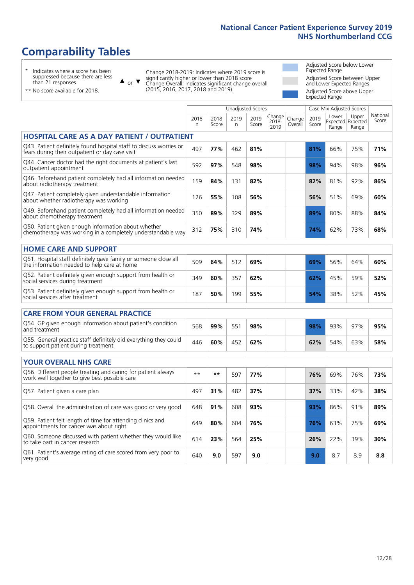# **Comparability Tables**

\* Indicates where a score has been suppressed because there are less than 21 responses.

\*\* No score available for 2018.

 $\triangle$  or  $\nabla$ 

Change 2018-2019: Indicates where 2019 score is significantly higher or lower than 2018 score Change Overall: Indicates significant change overall (2015, 2016, 2017, 2018 and 2019).

Adjusted Score below Lower Expected Range Adjusted Score between Upper and Lower Expected Ranges Adjusted Score above Upper Expected Range

|                                                                                                                       |           |               |            | <b>Unadjusted Scores</b> |                         |                   |               | Case Mix Adjusted Scores            |                |                   |
|-----------------------------------------------------------------------------------------------------------------------|-----------|---------------|------------|--------------------------|-------------------------|-------------------|---------------|-------------------------------------|----------------|-------------------|
|                                                                                                                       | 2018<br>n | 2018<br>Score | 2019<br>n. | 2019<br>Score            | Change<br>2018-<br>2019 | Change<br>Overall | 2019<br>Score | Lower<br>Expected Expected<br>Range | Upper<br>Range | National<br>Score |
| <b>HOSPITAL CARE AS A DAY PATIENT / OUTPATIENT</b>                                                                    |           |               |            |                          |                         |                   |               |                                     |                |                   |
| Q43. Patient definitely found hospital staff to discuss worries or<br>fears during their outpatient or day case visit | 497       | 77%           | 462        | 81%                      |                         |                   | 81%           | 66%                                 | 75%            | 71%               |
| Q44. Cancer doctor had the right documents at patient's last<br>outpatient appointment                                | 592       | 97%           | 548        | 98%                      |                         |                   | 98%           | 94%                                 | 98%            | 96%               |
| Q46. Beforehand patient completely had all information needed<br>about radiotherapy treatment                         | 159       | 84%           | 131        | 82%                      |                         |                   | 82%           | 81%                                 | 92%            | 86%               |
| Q47. Patient completely given understandable information<br>about whether radiotherapy was working                    | 126       | 55%           | 108        | 56%                      |                         |                   | 56%           | 51%                                 | 69%            | 60%               |
| Q49. Beforehand patient completely had all information needed<br>about chemotherapy treatment                         | 350       | 89%           | 329        | 89%                      |                         |                   | 89%           | 80%                                 | 88%            | 84%               |
| Q50. Patient given enough information about whether<br>chemotherapy was working in a completely understandable way    | 312       | 75%           | 310        | 74%                      |                         |                   | 74%           | 62%                                 | 73%            | 68%               |
| <b>HOME CARE AND SUPPORT</b>                                                                                          |           |               |            |                          |                         |                   |               |                                     |                |                   |
| Q51. Hospital staff definitely gave family or someone close all<br>the information needed to help care at home        | 509       | 64%           | 512        | 69%                      |                         |                   | 69%           | 56%                                 | 64%            | 60%               |
| Q52. Patient definitely given enough support from health or<br>social services during treatment                       | 349       | 60%           | 357        | 62%                      |                         |                   | 62%           | 45%                                 | 59%            | 52%               |
| Q53. Patient definitely given enough support from health or<br>social services after treatment                        | 187       | 50%           | 199        | 55%                      |                         |                   | 54%           | 38%                                 | 52%            | 45%               |
| <b>CARE FROM YOUR GENERAL PRACTICE</b>                                                                                |           |               |            |                          |                         |                   |               |                                     |                |                   |
| Q54. GP given enough information about patient's condition<br>and treatment                                           | 568       | 99%           | 551        | 98%                      |                         |                   | 98%           | 93%                                 | 97%            | 95%               |
| Q55. General practice staff definitely did everything they could<br>to support patient during treatment               | 446       | 60%           | 452        | 62%                      |                         |                   | 62%           | 54%                                 | 63%            | 58%               |
| <b>YOUR OVERALL NHS CARE</b>                                                                                          |           |               |            |                          |                         |                   |               |                                     |                |                   |
| Q56. Different people treating and caring for patient always<br>work well together to give best possible care         | $* *$     | $***$         | 597        | 77%                      |                         |                   | 76%           | 69%                                 | 76%            | 73%               |
| Q57. Patient given a care plan                                                                                        | 497       | 31%           | 482        | 37%                      |                         |                   | 37%           | 33%                                 | 42%            | 38%               |
| Q58. Overall the administration of care was good or very good                                                         | 648       | 91%           | 608        | 93%                      |                         |                   | 93%           | 86%                                 | 91%            | 89%               |
| Q59. Patient felt length of time for attending clinics and<br>appointments for cancer was about right                 | 649       | 80%           | 604        | 76%                      |                         |                   | 76%           | 63%                                 | 75%            | 69%               |
| Q60. Someone discussed with patient whether they would like<br>to take part in cancer research                        | 614       | 23%           | 564        | 25%                      |                         |                   | 26%           | 22%                                 | 39%            | 30%               |
| Q61. Patient's average rating of care scored from very poor to<br>very good                                           | 640       | 9.0           | 597        | 9.0                      |                         |                   | 9.0           | 8.7                                 | 8.9            | 8.8               |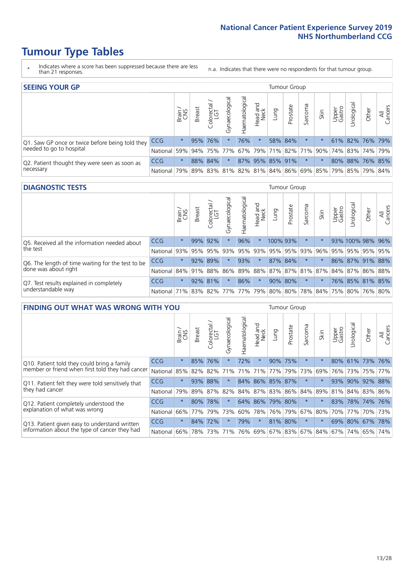- \* Indicates where a score has been suppressed because there are less than 21 responses.
- n.a. Indicates that there were no respondents for that tumour group.

| <b>SEEING YOUR GP</b>                           |            |         |               |             |                   |                |                  |      | Tumour Group                      |         |      |                 |                                         |       |                |
|-------------------------------------------------|------------|---------|---------------|-------------|-------------------|----------------|------------------|------|-----------------------------------|---------|------|-----------------|-----------------------------------------|-------|----------------|
|                                                 |            | Brain   | <b>Breast</b> | Colorectal  | ত<br>Gynaecologic | Haematological | Head and<br>Neck | Lung | Prostate                          | Sarcoma | Skin | Upper<br>Gastro | $\sigma$<br>Jrologica                   | Other | All<br>Cancers |
| Q1. Saw GP once or twice before being told they | <b>CCG</b> | $\star$ |               | 95% 76%     |                   | 76%            | $\star$          |      | 58% 84%                           |         |      |                 | 61% 82% 76% 79%                         |       |                |
| needed to go to hospital                        | National   | 59%     |               | 94% 75% 77% |                   |                |                  |      | 67%   79%   71%   82%   71%   90% |         |      |                 | 74%   83%   74%   79%                   |       |                |
| Q2. Patient thought they were seen as soon as   | <b>CCG</b> | $\star$ |               | 88% 84%     | $\star$           |                |                  |      | 87% 95% 85% 91%                   | $\star$ |      |                 | 80% 88% 76% 85%                         |       |                |
| necessary                                       | National   | 79%     |               | 89% 83%     |                   |                |                  |      |                                   |         |      |                 | 81% 82% 81% 84% 86% 69% 85% 79% 85% 79% |       | 84%            |

#### **DIAGNOSTIC TESTS** Tumour Group

|                                                   |                                          | Brain   | <b>Breast</b> | Colorectal  | ᅙ<br>Gynaecologic | Haematological | Head and<br>Neck | Lung                | Prostate | Sarcoma | Skin | Upper<br>Gastro | rological                                   | Other | All<br>Cancers |
|---------------------------------------------------|------------------------------------------|---------|---------------|-------------|-------------------|----------------|------------------|---------------------|----------|---------|------|-----------------|---------------------------------------------|-------|----------------|
| O5. Received all the information needed about     | CCG                                      | $\star$ | 99% 92%       |             |                   | 96%            | $\ast$           | 100% 93%            |          | $\star$ |      |                 | 93% 100% 98% 96%                            |       |                |
| $\vert$ the test                                  | National                                 | 93%     |               | 95% 95%     |                   |                |                  | 93% 95% 93% 95% 95% |          | 93%     | 96%  |                 | 95% 95% 95% 95%                             |       |                |
| Q6. The length of time waiting for the test to be | <b>CCG</b>                               | $\star$ | 92%           | 89%         | $\star$           | 93%            | $\star$          |                     | 87% 84%  | $\star$ |      |                 | 86% 87% 91% 88%                             |       |                |
| done was about right                              | National                                 |         |               | 84% 91% 88% |                   |                |                  |                     |          |         |      |                 | 86% 89% 88% 87% 87% 81% 87% 84% 87% 86% 88% |       |                |
| Q7. Test results explained in completely          | CCG                                      | $\star$ |               | 92% 81%     | $\star$           | 86%            | $\star$          |                     | 90% 80%  | $\star$ |      |                 | 76% 85% 81% 85%                             |       |                |
| understandable way                                | National 71% 83% 82% 77% 77% 79% 80% 80% |         |               |             |                   |                |                  |                     |          |         |      |                 | 78% 84% 75% 80% 76% 80%                     |       |                |

| <b>FINDING OUT WHAT WAS WRONG WITH YOU</b>        |          |         |               |                       |                |                   |                  |                 | <b>Tumour Group</b> |         |         |                 |            |             |                |
|---------------------------------------------------|----------|---------|---------------|-----------------------|----------------|-------------------|------------------|-----------------|---------------------|---------|---------|-----------------|------------|-------------|----------------|
|                                                   |          | Brain   | <b>Breast</b> | olorectal<br>LGT<br>Û | Gynaecological | aematologica<br>エ | Head and<br>Neck | Lung            | Prostate            | Sarcoma | Skin    | Upper<br>Gastro | Urological | Other       | All<br>Cancers |
| Q10. Patient told they could bring a family       | CCG      | $\star$ | 85%           | 76%                   |                | 72%               | $\star$          |                 | 90% 75%             | $\ast$  | $\ast$  | 80%             | 61%        | 73%         | 76%            |
| member or friend when first told they had cancer  | National | 85%     | 82%           | 82%                   | 71%            | 71%               | 71%              | 77%             | 79%                 | 73%     | 69%     | 76%             | 73%        | 75%         | 77%            |
| Q11. Patient felt they were told sensitively that | CCG      | $\star$ |               | 93% 88%               |                |                   |                  | 84% 86% 85% 87% |                     | $\ast$  | $\star$ | 93%             | 90%        | 92%         | 88%            |
| they had cancer                                   | National | 79%     |               | 89% 87% 82%           |                |                   |                  | 84% 87% 83% 86% |                     | 84%     | 89%     |                 |            | 81% 84% 83% | 86%            |
| Q12. Patient completely understood the            | CCG      | $\star$ | 80%           | 78%                   |                |                   |                  | 64% 86% 79% 80% |                     | $\ast$  |         | 83%             |            | 78% 74%     | 76%            |
| explanation of what was wrong                     | National | 66%     | 77%           | 79%                   | 73%            | 60%               |                  | 78% 76%         | 79%                 | 67%     | 80%     | 70%             | 77%        |             | 70% 73%        |
| Q13. Patient given easy to understand written     | CCG      | $\star$ | 84%           | 72%                   |                | 79%               | $\star$          | 81% 80%         |                     | $\ast$  | $\star$ | 69%             | 80%        | 67%         | 78%            |
| information about the type of cancer they had     | National | 66%     | 78%           | 73%                   | 71%            | 76%               |                  | 69% 67% 83%     |                     | 67%     | 84%     | 67%             | 74%        | 65%         | 74%            |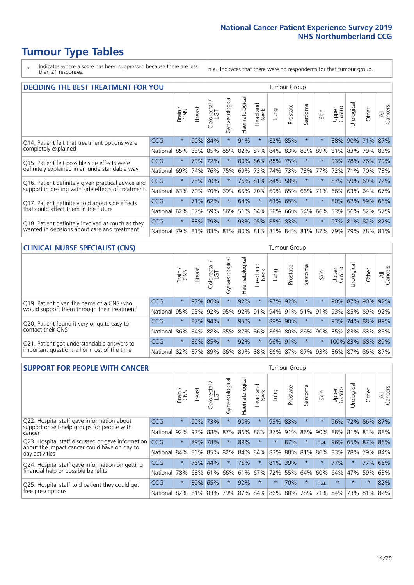\* Indicates where a score has been suppressed because there are less than 21 responses.

n.a. Indicates that there were no respondents for that tumour group.

| <b>DECIDING THE BEST TREATMENT FOR YOU</b>         |            |         |               |                            |                |                |                        |                 | <b>Tumour Group</b> |                                     |         |                 |            |                 |                |
|----------------------------------------------------|------------|---------|---------------|----------------------------|----------------|----------------|------------------------|-----------------|---------------------|-------------------------------------|---------|-----------------|------------|-----------------|----------------|
|                                                    |            | Brain   | <b>Breast</b> | olorectal<br>LGT<br>$\cup$ | Gynaecological | Haematological | ad and<br>Neck<br>Head | Lung            | Prostate            | Sarcoma                             | Skin    | Upper<br>Gastro | Jrological | Other           | All<br>Cancers |
| Q14. Patient felt that treatment options were      | CCG        | $\star$ | 90%           | 84%                        | $\star$        | 91%            | $\star$                |                 | 82% 85%             | $\star$                             |         | 88%             | 90%        | 71%             | 87%            |
| completely explained                               | National   | 85%     | 85%           | 85%                        | 85%            | 82%            | 87%                    |                 |                     | 84% 83% 83%                         | 89%     | 81%             | 83%        | 79% 83%         |                |
| Q15. Patient felt possible side effects were       | <b>CCG</b> | $\star$ | 79%           | 72%                        | $\star$        |                |                        | 80% 86% 88% 75% |                     | $^\star$                            |         | 93%             |            | 78% 76% 79%     |                |
| definitely explained in an understandable way      | National   | 69%     | 74%           | 76%                        | 75%            | 69%            | 73%                    |                 | 74% 73%             | 73%                                 | 77%     | 72%             | 71%        | 70% 73%         |                |
| Q16. Patient definitely given practical advice and | CCG        | $\star$ | 75%           | 70%                        | $\star$        |                |                        | 76% 81% 84% 58% |                     | $\star$                             | $\star$ | 87%             |            | 59% 69% 72%     |                |
| support in dealing with side effects of treatment  | National   | 63%     | 70%           | 70%                        | 69%            | 65%            | 70%                    |                 | 69% 65%             | 66%                                 | 71%     | 66%             |            | 63% 64% 67%     |                |
| Q17. Patient definitely told about side effects    | CCG        | $\star$ | 71%           | 62%                        | $\star$        | 64%            | $\star$                |                 | 63% 65%             | $^\star$                            | $\star$ | 80%             |            | 62% 59% 66%     |                |
| that could affect them in the future               | National   | 62%     | 57%           | 59%                        | 56%            | 51%            | 64%                    |                 | 56% 66%             | 54%                                 | 66%     | 53%             |            | 56% 52%         | 57%            |
| Q18. Patient definitely involved as much as they   | <b>CCG</b> | $\star$ | 88%           | 79%                        | $\star$        |                |                        | 93% 95% 85% 83% |                     | $\star$                             | $\star$ |                 |            | 97% 81% 82% 87% |                |
| wanted in decisions about care and treatment       | National   | 79%     |               |                            |                |                |                        |                 |                     | 81% 83% 81% 80% 81% 81% 84% 81% 87% |         | 79%             |            | 79% 78% 81%     |                |

### **CLINICAL NURSE SPECIALIST (CNS)** Tumour Group

|                                             |          | Brain           | <b>Breast</b>   | Colorectal<br>LGT | ᠊ᢛ<br>Gynaecologic | $\overline{\sigma}$<br>aematologic | Head and<br>Neck | Lung | Prostate        | Sarcoma | Skin    | Upper<br>Gastro | $\overline{\sigma}$<br>Irologica              | Other               | All<br>Cancers |
|---------------------------------------------|----------|-----------------|-----------------|-------------------|--------------------|------------------------------------|------------------|------|-----------------|---------|---------|-----------------|-----------------------------------------------|---------------------|----------------|
| Q19. Patient given the name of a CNS who    | CCG      | $\star$         |                 | 97% 86%           |                    | 92%                                | $\star$          |      | 97% 92%         | $\ast$  |         |                 |                                               | 90% 87% 90% 92%     |                |
| would support them through their treatment  | National | 95%             | 95%             | 92%               | 95%                | 92%                                | 91%              |      | 94% 91% 91% 91% |         |         | 93%             | 85%                                           | 89%                 | 92%            |
| Q20. Patient found it very or quite easy to | CCG      | $\star$         |                 | 87% 94%           |                    | 95%                                | $\star$          |      | 89% 90%         | $\star$ | $\star$ | 93%             | 74%                                           | 88% 89%             |                |
| contact their CNS                           | National |                 | 86% 84% 88% 85% |                   |                    | 87%                                |                  |      | 86% 86% 80%     |         |         |                 |                                               | 86% 90% 85% 83% 83% | 85%            |
| Q21. Patient got understandable answers to  | CCG      | $\star$         |                 | 86% 85%           |                    | 92%                                | $\star$          |      | 96% 91%         | $\star$ | $\star$ |                 |                                               | 100% 83% 88% 89%    |                |
| important questions all or most of the time | National | 82% 87% 89% 86% |                 |                   |                    |                                    |                  |      |                 |         |         |                 | 89%   88%   86%   87%   87%   93%   86%   87% |                     | 86% 87%        |

| <b>SUPPORT FOR PEOPLE WITH CANCER</b>                                                             |            |         |               |                             |                |                |                        |         | Tumour Group |          |        |                 |            |         |                |
|---------------------------------------------------------------------------------------------------|------------|---------|---------------|-----------------------------|----------------|----------------|------------------------|---------|--------------|----------|--------|-----------------|------------|---------|----------------|
|                                                                                                   |            | Brain   | <b>Breast</b> | ╮<br>olorectal.<br>LGT<br>Ũ | Gynaecological | Haematological | ad and<br>Neck<br>Head | Lung    | Prostate     | Sarcoma  | Skin   | Upper<br>Gastro | Jrological | Other   | All<br>Cancers |
| Q22. Hospital staff gave information about<br>support or self-help groups for people with         | <b>CCG</b> | $\star$ | 90%           | 73%                         | $\star$        | 90%            | $\ast$                 | 93%     | 83%          | $\star$  |        | 96%             | 72%        | 86% 87% |                |
| cancer                                                                                            | National   | 92%     | 92%           | 88%                         | 87%            | 86%            | 88%                    | 87%     | 91%          | 86%      | 90%    | 88%             | 81%        | 83%     | 88%            |
| Q23. Hospital staff discussed or gave information<br>about the impact cancer could have on day to | <b>CCG</b> | $\star$ | 89%           | 78%                         | $\star$        | 89%            | $\star$                | $\star$ | 87%          | $\star$  | n.a.   | 96%             | 65%        | 87% 86% |                |
| day activities                                                                                    | National   | 84%     | 86%           | 85%                         | 82%            | 84%            | 84%                    | 83%     | 88%          | 81%      | 86%    | 83%             | 78%        | 79%     | 84%            |
| Q24. Hospital staff gave information on getting                                                   | CCG        | $\star$ | 76%           | 44%                         |                | 76%            | $\ast$                 |         | 81% 39%      | $^\star$ | $\ast$ | 77%             | $\star$    | 77%     | 66%            |
| financial help or possible benefits                                                               | National   | 78%     |               | 68% 61%                     | 66%            | 61%            | 67%                    |         | 72% 55%      | 64%      | 60%    | 64%             | 47%        | 59%     | 63%            |
| Q25. Hospital staff told patient they could get                                                   | <b>CCG</b> | $\star$ | 89%           | 65%                         | $\star$        | 92%            | $\star$                | $\star$ | 70%          | $\star$  | n.a.   | $\star$         | $\star$    | $\star$ | 82%            |
| free prescriptions                                                                                | National   | 82%     |               | 81% 83%                     | 79%            |                | 87% 84% 86% 80%        |         |              | 78%      | 71%    | $ 84\% $        | 73%        | 81%     | 82%            |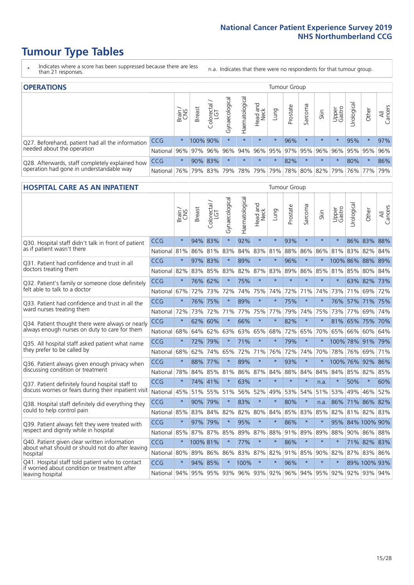- \* Indicates where a score has been suppressed because there are less than 21 responses.
- n.a. Indicates that there were no respondents for that tumour group.

| <b>OPERATIONS</b>                                |            |          |               |                        |                                     |                |                        |         | Tumour Group |         |                     |                 |            |                                                           |                |
|--------------------------------------------------|------------|----------|---------------|------------------------|-------------------------------------|----------------|------------------------|---------|--------------|---------|---------------------|-----------------|------------|-----------------------------------------------------------|----------------|
|                                                  |            | Brain    | <b>Breast</b> | iolorectal<br>LGT<br>Ü | $\overline{\sigma}$<br>Gynaecologic | Haematological | ad and<br>Neck<br>Head | Lung    | Prostate     | Sarcoma | Skin                | Upper<br>Gastro | Jrological | Other                                                     | All<br>Cancers |
| Q27. Beforehand, patient had all the information | CCG        | $\star$  | 100% 90%      |                        | $\star$                             | $\star$        | $\star$                | $\star$ | 96%          |         | $\star$             | $\star$         | 95%        | $\ast$                                                    | 97%            |
| needed about the operation                       | National   | 96%      | 97%           | 96%                    |                                     |                |                        |         |              |         |                     |                 |            | 96%   94%   96%   95%   97%   95%   96%   96%   95%   95% | 96%            |
| Q28. Afterwards, staff completely explained how  | <b>CCG</b> | $\star$  |               | 90% 83%                | $\star$                             | $\star$        | $\star$                | $\star$ | 82%          | $\star$ | $\star$             | $\star$         | 80%        | $\star$                                                   | 86%            |
| operation had gone in understandable way         | National   | $ 76\% $ |               | 79% 83%                |                                     |                | 79%   78%   79%        |         |              |         | 79% 78% 80% 82% 79% |                 |            | 76% 77%                                                   | 79%            |

#### **HOSPITAL CARE AS AN INPATIENT** Tumour Group

|                                                                                                   |          | Brain   | Breast   | $\overline{\phantom{0}}$<br>Colorectal /<br>LGT | Gynaecological | Haematological | Head and<br><b>Neck</b> | Lung        | Prostate | Sarcoma | Skin    | Upper<br>Gastro | Urological | Other               | All<br>Cancers |
|---------------------------------------------------------------------------------------------------|----------|---------|----------|-------------------------------------------------|----------------|----------------|-------------------------|-------------|----------|---------|---------|-----------------|------------|---------------------|----------------|
| Q30. Hospital staff didn't talk in front of patient                                               | CCG      | $\star$ | 94%      | 83%                                             | $\star$        | 92%            | $\star$                 | $\star$     | 93%      | $\star$ | $\star$ | $\star$         |            | 86% 83% 88%         |                |
| as if patient wasn't there                                                                        | National | 81%     | 86%      | 81%                                             | 83%            | 84%            | 83%                     | 81%         | 88%      | 86%     | 86%     | 81%             | 83%        | 82%                 | 84%            |
| Q31. Patient had confidence and trust in all<br>doctors treating them                             | CCG      | $\star$ | 97% 83%  |                                                 |                | 89%            | $\star$                 | $\star$     | 96%      | $\star$ | $\star$ |                 |            | 100% 86% 88% 89%    |                |
|                                                                                                   | National | 82%     |          | 83% 85%                                         | 83%            | 82%            |                         | 87% 83%     | 89%      | 86%     | 85%     | 81% 85%         |            | 80% 84%             |                |
| Q32. Patient's family or someone close definitely<br>felt able to talk to a doctor                | CCG      | $\star$ | 76% 62%  |                                                 | $\star$        | 75%            | $\star$                 | $\star$     | $\star$  | $\star$ | $\star$ | $\star$         |            | 63% 82% 73%         |                |
|                                                                                                   | National | 67%     | 72%      | 73%                                             | 72%            | 74%            |                         | 75% 74%     | 72%      | 71%     | 74%     | 73%             | 71%        | 69%                 | 72%            |
| Q33. Patient had confidence and trust in all the                                                  | CCG      | $\star$ |          | 76% 75%                                         | $\star$        | 89%            | $\star$                 | $\star$     | 75%      | $\star$ | $\star$ |                 |            | 76% 57% 71% 75%     |                |
| ward nurses treating them                                                                         | National | 72%     | 73%      | 72%                                             | 71%            |                | 77% 75% 77%             |             | 79%      | 74%     | 75%     |                 | 73% 77%    | 69%                 | 74%            |
| Q34. Patient thought there were always or nearly<br>always enough nurses on duty to care for them | CCG      | $\star$ | 62%      | 60%                                             | $\star$        | 66%            | $\star$                 | $\star$     | 82%      | $\star$ | $\star$ | 81%             | 65%        | 75%                 | 70%            |
|                                                                                                   | National | 68%     | 64%      | 62%                                             | 63%            | 63%            | 65%                     | 68%         | 72%      | 65%     | 70%     | 65%             | 66%        | 60%                 | 64%            |
| Q35. All hospital staff asked patient what name                                                   | CCG      | $\star$ | 72%      | 79%                                             | $\star$        | 71%            | $\star$                 | $\star$     | 79%      | $\star$ | $\star$ |                 |            | 100% 78% 91% 79%    |                |
| they prefer to be called by                                                                       | National | 68%     | 62%      | 74%                                             | 65%            | 72%            |                         | 71% 76%     | 72%      | 74%     | 70%     |                 | 78% 76%    | 69%                 | 71%            |
| Q36. Patient always given enough privacy when                                                     | CCG      | $\star$ | 88%      | 77%                                             | $\star$        | 89%            | $\star$                 | $\star$     | 93%      | $\star$ | $\star$ |                 |            | 100% 76% 92% 86%    |                |
| discussing condition or treatment                                                                 | National | 78%     | 84%      | 85%                                             | 81%            |                |                         | 86% 87% 84% | 88%      | 84%     | 84%     | 84%             | 85% 82%    |                     | 85%            |
| Q37. Patient definitely found hospital staff to                                                   | CCG      | $\star$ | 74%      | 41%                                             | $\star$        | 63%            | $\star$                 | $\star$     | $\star$  | $\star$ | n.a.    | $\star$         | 50%        | $\star$             | 60%            |
| discuss worries or fears during their inpatient visit                                             | National | 45%     |          | 51% 55%                                         | 51%            | 56%            |                         | 52% 49%     | 53%      | 54%     | 51%     | 53%             | 49%        | 46%                 | 52%            |
| Q38. Hospital staff definitely did everything they                                                | CCG      | $\star$ | 90% 79%  |                                                 | $\star$        | 83%            | $\star$                 | $\star$     | 80%      | $\star$ | n.a.    | 86%             |            | 71% 86% 82%         |                |
| could to help control pain                                                                        | National | 85%     | 83%      | 84%                                             | 82%            | 82%            | 80%                     | 84%         | 85%      | 83%     | 85%     | 82%             |            | 81% 82% 83%         |                |
| Q39. Patient always felt they were treated with                                                   | CCG      | $\star$ | 97% 79%  |                                                 | $\star$        | 95%            | $\star$                 | $\star$     | 86%      | $\star$ | $\star$ |                 |            | 95% 84% 100% 90%    |                |
| respect and dignity while in hospital                                                             | National | 85%     | 87% 87%  |                                                 | 85%            |                | 89% 87%                 | 88%         | 91%      | 89%     | 89%     | 88%             |            | 90% 86%             | 88%            |
| Q40. Patient given clear written information<br>about what should or should not do after leaving  | CCG      | $\star$ | 100% 81% |                                                 | $\star$        | 77%            | $\star$                 | $\star$     | 86%      | $\star$ | $\star$ | $\star$         |            | 71% 82% 83%         |                |
| hospital                                                                                          | National | 80%     | 89%      | 86%                                             | 86%            | 83%            |                         | 87% 82%     | 91%      | 85%     |         | 90% 82%         |            | 87% 83% 86%         |                |
| Q41. Hospital staff told patient who to contact<br>if worried about condition or treatment after  | CCG      | $\star$ |          | 94% 85%                                         | $\star$        | 100%           | $\star$                 | $\star$     | 96%      | $\star$ | $\star$ | $\star$         |            | 89% 100% 93%        |                |
| leaving hospital                                                                                  | National | 94%     |          | 95% 95% 93%                                     |                | 96% 93% 92%    |                         |             |          | 96% 94% |         |                 |            | 95% 92% 92% 93% 94% |                |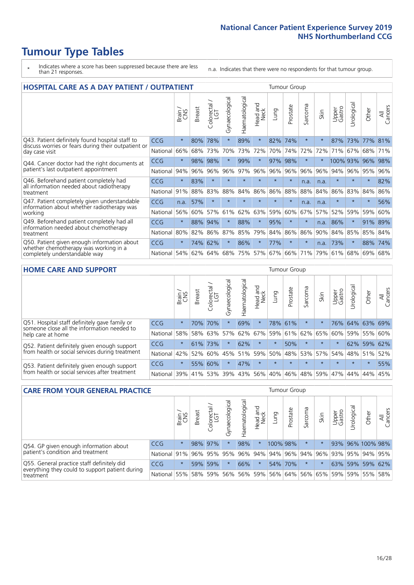# **Tumour Type Tables**

- \* Indicates where a score has been suppressed because there are less than 21 responses.
- n.a. Indicates that there were no respondents for that tumour group.

| <b>HOSPITAL CARE AS A DAY PATIENT / OUTPATIENT</b>                                                                    | <b>Tumour Group</b> |         |               |                 |                |                |                         |         |          |              |      |                 |            |         |                |
|-----------------------------------------------------------------------------------------------------------------------|---------------------|---------|---------------|-----------------|----------------|----------------|-------------------------|---------|----------|--------------|------|-----------------|------------|---------|----------------|
|                                                                                                                       |                     | Brain   | <b>Breast</b> | ー<br>Colorectal | Gynaecological | Haematological | ead and<br>Neck<br>Head | Lung    | Prostate | arcoma<br>ιñ | Skin | Upper<br>Gastro | Urological | Other   | All<br>Cancers |
| Q43. Patient definitely found hospital staff to                                                                       | CCG                 | $\star$ | 80%           | 78%             | $\star$        | 89%            | $\star$                 | 82%     | 74%      | $\star$      |      | 87%             | 73%        | 77%     | 81%            |
| discuss worries or fears during their outpatient or<br>day case visit                                                 | National            | 66%     | 68%           | 73%             | 70%            | 73%            | 72%                     | 70%     | 74%      | 72%          | 72%  | 71%             | 67%        | 68%     | 71%            |
| Q44. Cancer doctor had the right documents at<br>patient's last outpatient appointment                                | CCG                 | $\star$ | 98%           | 98%             | $\star$        | 99%            | $\star$                 | 97%     | 98%      | $\star$      |      | 100% 93%        |            | 96%     | 98%            |
|                                                                                                                       | National            | 94%     | 96%           | 96%             | 96%            | 97%            | 96%                     | 96%     | 96%      | 96%          | 96%  | 94%             | 96%        | 95%     | 96%            |
| Q46. Beforehand patient completely had                                                                                | <b>CCG</b>          | $\star$ | 83%           | $\star$         | $\star$        |                | $\star$                 | $\star$ | $\star$  | n.a.         | n.a. | $\star$         | $\star$    | $\ast$  | 82%            |
| all information needed about radiotherapy<br>treatment                                                                | National            | 91%     | 88%           | 83%             | 88%            | 84%            | 86%                     | 86%     | 88%      | 88%          | 84%  | 86%             | 83%        | 84%     | 86%            |
| Q47. Patient completely given understandable                                                                          | CCG                 | n.a.    | 57%           | $\star$         |                |                | $\star$                 | $\star$ | $\star$  | n.a.         | n.a. | $\star$         | $\star$    | $\ast$  | 56%            |
| information about whether radiotherapy was<br>working                                                                 | National            | 56%     | 60%           | 57%             | 61%            | 62%            | 63%                     | 59%     | 60%      | 67%          | 57%  | 52%             | 59%        | 59%     | 60%            |
| Q49. Beforehand patient completely had all                                                                            | <b>CCG</b>          | $\star$ | 88%           | 94%             |                | 88%            | $\star$                 | 95%     | $\star$  | $\star$      | n.a. | 86%             | $\star$    | 91% 89% |                |
| information needed about chemotherapy<br>treatment                                                                    | National            | 80%     | 82%           | 86%             | 87%            | 85%            | 79%                     | 84%     | 86%      | 86%          | 90%  | 84%             | 85%        | 85%     | 84%            |
| Q50. Patient given enough information about<br>whether chemotherapy was working in a<br>completely understandable way | <b>CCG</b>          | $\star$ | 74%           | 62%             | $\star$        | 86%            | $\star$                 | 77%     | $\star$  | $\star$      | n.a. | 73%             | $\star$    | 88%     | 74%            |
|                                                                                                                       | National            | 54%     | 62%           | 64%             | 68%            | 75%            |                         | 57% 67% | 66%      | 71%          | 79%  | 61%             | 68%        | 69%     | 68%            |

#### **HOME CARE AND SUPPORT** Tumour Group

|                                                                                                                   |            | Brain<br>CNS | <b>Breast</b> | Colorectal | $\sigma$<br>Gynaecologic | Haematological | ad and<br>Neck<br>—<br>Head | Lung    | Prostate | Sarcoma     | Skin    | Upper<br>Gastro | Urological | Other       | All<br>Cancers |
|-------------------------------------------------------------------------------------------------------------------|------------|--------------|---------------|------------|--------------------------|----------------|-----------------------------|---------|----------|-------------|---------|-----------------|------------|-------------|----------------|
| Q51. Hospital staff definitely gave family or<br>someone close all the information needed to<br>help care at home | <b>CCG</b> | $\star$      | 70%           | 70%        | $\star$                  | 69%            | $\star$                     |         | 78% 61%  | $^\star$    |         | 76%             |            | 64% 63%     | 69%            |
|                                                                                                                   | National   | 58%          | 58%           | 63%        | 57%                      | 62%            | 67%                         | 59%     | 61%      | 62% 65%     |         | 60%             | 59%        | 55%         | 60%            |
| Q52. Patient definitely given enough support<br>from health or social services during treatment                   | <b>CCG</b> | $\star$      | 61%           | 73%        | $\star$                  | 62%            | $\star$                     | $\star$ | 50%      | $\star$     | $\star$ | $\star$         |            | 62% 59% 62% |                |
|                                                                                                                   | National   | 42%          | 52%           | 60%        |                          | 45%   51%      | 59%                         | 50%     |          | 48% 53% 57% |         | 54%             | 48% 51%    |             | 52%            |
| Q53. Patient definitely given enough support<br>from health or social services after treatment                    | <b>CCG</b> | $\star$      |               | 55% 60%    | $\star$                  | 47%            | $\star$                     | $\star$ | $\star$  | $\star$     | $\star$ | $\star$         | $\star$    | $\star$     | 55%            |
|                                                                                                                   | National   | 39%          |               | 41% 53%    | 39%                      | 43%            | 56%                         | 40%     | 46%      |             | 48% 59% | 47%             | 44%        | 44%         | 45%            |

| <b>CARE FROM YOUR GENERAL PRACTICE</b>                                                                     |              | Tumour Group |               |                        |                |                                     |                  |                                         |          |         |      |                 |                |                  |                |
|------------------------------------------------------------------------------------------------------------|--------------|--------------|---------------|------------------------|----------------|-------------------------------------|------------------|-----------------------------------------|----------|---------|------|-----------------|----------------|------------------|----------------|
|                                                                                                            |              | Brain        | <b>Breast</b> | ー<br>Colorectal<br>LGT | Gynaecological | $\overline{\sigma}$<br>Haematologic | Head and<br>Neck | Lung                                    | Prostate | Sarcoma | Skin | Upper<br>Gastro | ъ<br>Urologica | Other            | All<br>Cancers |
| Q54. GP given enough information about<br>patient's condition and treatment                                | <b>CCG</b>   | $\star$      |               | 98% 97%                |                | 98%                                 | $\star$          | 100% 98%                                |          |         |      |                 |                | 93% 96% 100% 98% |                |
|                                                                                                            | National 91% |              |               | 96% 95%                | 95%            |                                     |                  | 96% 94% 94% 96% 94% 96%                 |          |         |      |                 |                | 93% 95% 94% 95%  |                |
| Q55. General practice staff definitely did<br>everything they could to support patient during<br>treatment | CCG          | $\star$      | 59%           | 59%                    |                | 66%                                 | $\star$          |                                         | 54% 70%  |         |      |                 |                | 63% 59% 59% 62%  |                |
|                                                                                                            | National 55% |              |               | 58% 59%                | 56%            |                                     |                  | 56% 59% 56% 64% 56% 65% 59% 59% 55% 58% |          |         |      |                 |                |                  |                |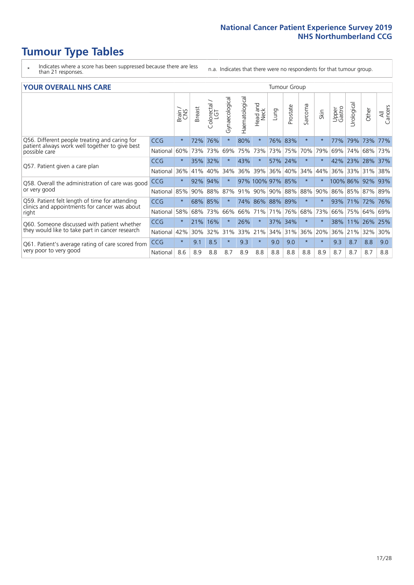- \* Indicates where a score has been suppressed because there are less than 21 responses.
- n.a. Indicates that there were no respondents for that tumour group.

#### **YOUR OVERALL NHS CARE** THE TWO CONTROLLER THE THE THROUP CHANGE THE TUMOUR GROUP

|            | Brain   | <b>Breast</b> | Colorectal<br>LGT | Gynaecological        | Haematological | Head and<br>Neck | Lung                                     | Prostate | Sarcoma                                                                               | Skin    | Upper<br>Gastro | Urologica | Other                      | All<br>Cancers                   |
|------------|---------|---------------|-------------------|-----------------------|----------------|------------------|------------------------------------------|----------|---------------------------------------------------------------------------------------|---------|-----------------|-----------|----------------------------|----------------------------------|
| <b>CCG</b> | $\star$ | 72%           | 76%               | $\star$               | 80%            | $\ast$           |                                          |          | $\star$                                                                               | $\star$ | 77%             | 79%       | 73%                        | 77%                              |
| National   | 60%     |               | 73%               | 69%                   |                |                  |                                          | 75%      | 70%                                                                                   | 79%     | 69%             | 74%       | 68%                        | 73%                              |
| <b>CCG</b> | $\star$ |               | 32%               |                       | 43%            | $\star$          |                                          |          | $\star$                                                                               | $\star$ |                 |           |                            | 37%                              |
| National   | 36%     | 41%           | 40%               | 34%                   | 36%            | 39%              | 36%                                      | 40%      | 34%                                                                                   | 44%     | 36%             | 33%       | 31%                        | 38%                              |
| <b>CCG</b> | $\star$ | 92%           | 94%               |                       |                |                  |                                          |          | $\star$                                                                               | $\star$ |                 |           |                            | 93%                              |
| National   | 85%     | 90%           | 88%               | 87%                   |                |                  |                                          |          | 88%                                                                                   | 90%     |                 |           |                            | 89%                              |
| <b>CCG</b> | $\star$ |               |                   | $\star$               |                |                  |                                          |          | $\star$                                                                               | $\star$ | 93%             |           | 72%                        | 76%                              |
| National   | 58%     | 68%           | 73%               | 66%                   |                |                  | 71%                                      | 76%      | 68%                                                                                   | 73%     | 66%             | 75%       | 64%                        | 69%                              |
| <b>CCG</b> | $\star$ | 21%           | 16%               |                       | 26%            | $\star$          |                                          | 34%      | $\star$                                                                               | $\star$ | 38%             | 11%       |                            | 25%                              |
| National   | 42%     | 30%           | 32%               | 31%                   |                |                  | 34%                                      | 31%      | 36%                                                                                   | 20%     | 36%             | 21%       | 32%                        | 30%                              |
| <b>CCG</b> | $\star$ | 9.1           | 8.5               | $\star$               | 9.3            | $\ast$           | 9.0                                      | 9.0      | $\star$                                                                               | $\ast$  | 9.3             | 8.7       | 8.8                        | 9.0                              |
| National   | 8.6     | 8.9           | 8.8               | 8.7                   | 8.9            | 8.8              | 8.8                                      | 8.8      | 8.8                                                                                   | 8.9     | 8.7             | 8.7       | 8.7                        | 8.8                              |
|            |         |               |                   | 73%<br>35%<br>68% 85% |                |                  | 75% 73%<br>91% 90%<br>66% 71%<br>33% 21% |          | 76%<br>83%<br>73%<br>57% 24%<br>97% 100% 97% 85%<br>90% 88%<br>74% 86% 88% 89%<br>37% |         |                 |           | 42% 23%<br>100% 86%<br>71% | 28%<br>92%<br>86% 85% 87%<br>26% |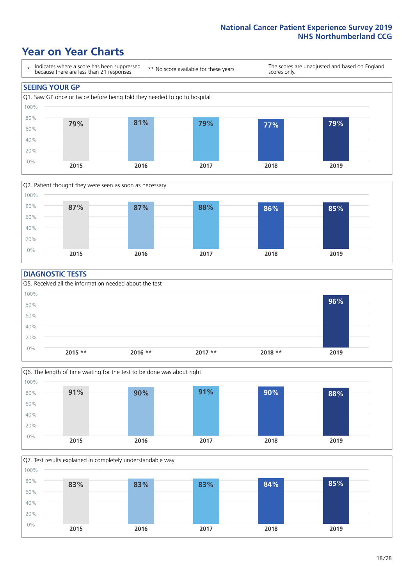# **Year on Year Charts**





#### **DIAGNOSTIC TESTS**





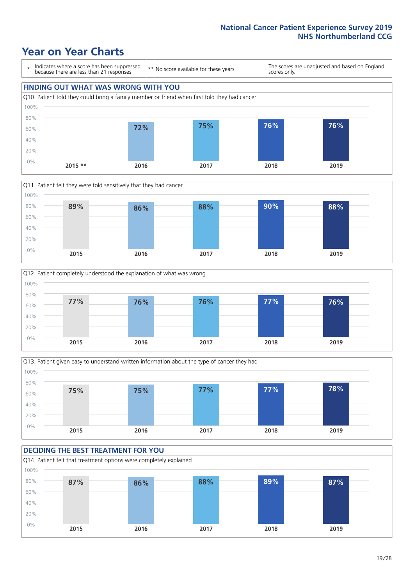# **Year on Year Charts**

\* Indicates where a score has been suppressed because there are less than 21 responses. \*\* No score available for these years. The scores are unadjusted and based on England scores only. **FINDING OUT WHAT WAS WRONG WITH YOU** Q10. Patient told they could bring a family member or friend when first told they had cancer 0% 20% 40% 60% 80% 100% **2015 \*\* 2016 2017 2018 2019 72% 75% 76% 76%**







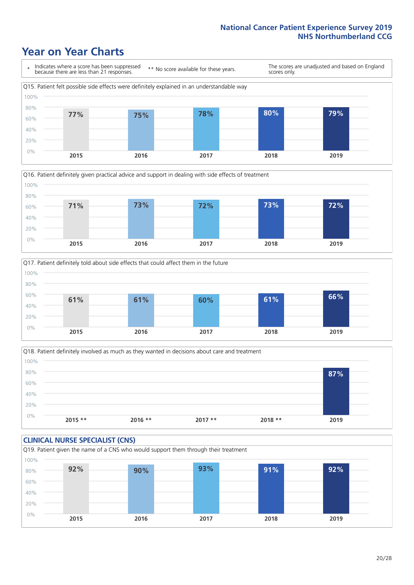# **Year on Year Charts**









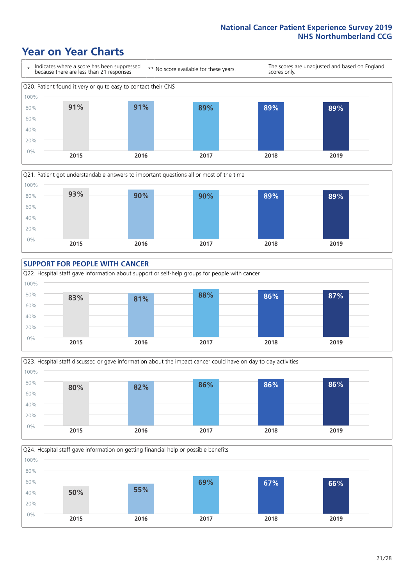# **Year on Year Charts**









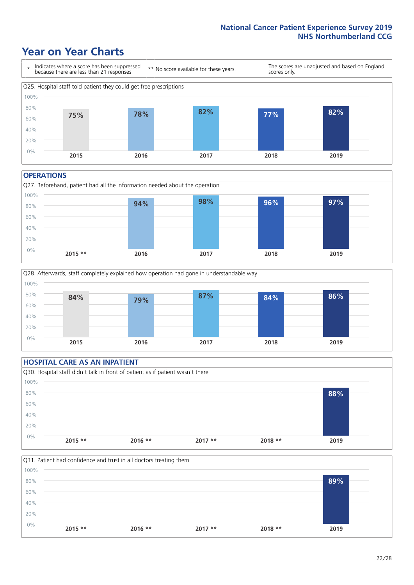# **Year on Year Charts**



#### **OPERATIONS**





### **HOSPITAL CARE AS AN INPATIENT** Q30. Hospital staff didn't talk in front of patient as if patient wasn't there 0% 20% 40% 60% 80% 100% **2015 \*\* 2016 \*\* 2017 \*\* 2018 \*\* 2019 88%**

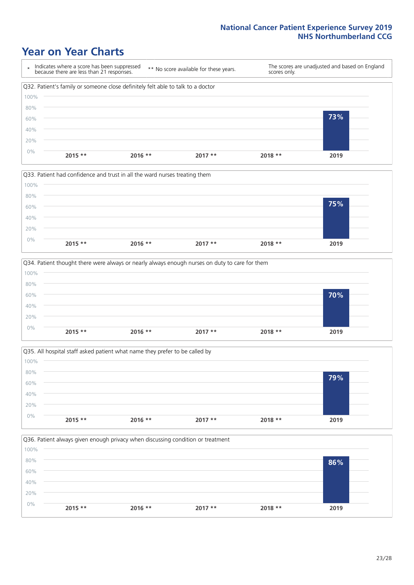# **Year on Year Charts**









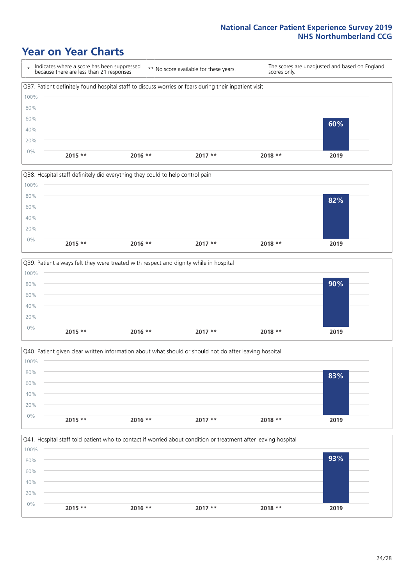# **Year on Year Charts**









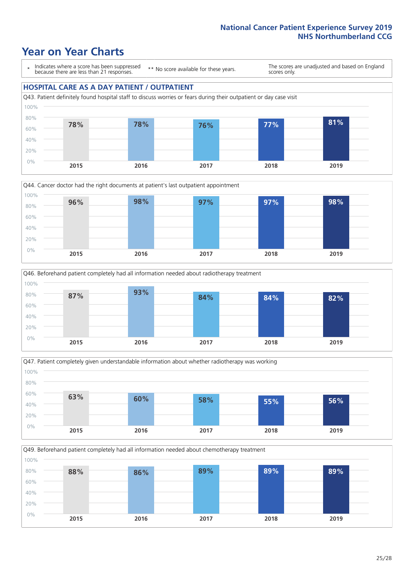# **Year on Year Charts**

\* Indicates where a score has been suppressed because there are less than 21 responses.

\*\* No score available for these years.

The scores are unadjusted and based on England scores only.

### **HOSPITAL CARE AS A DAY PATIENT / OUTPATIENT**









Q49. Beforehand patient completely had all information needed about chemotherapy treatment

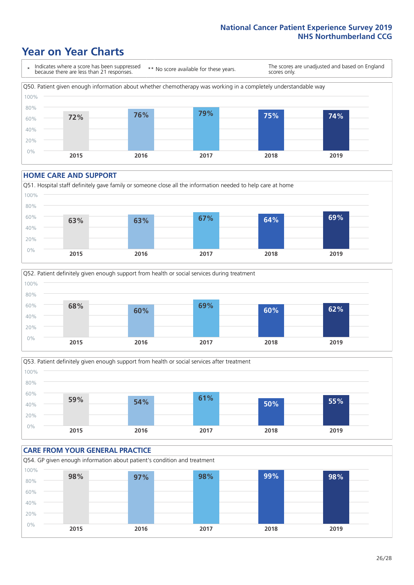# **Year on Year Charts**



#### **HOME CARE AND SUPPORT**







#### **CARE FROM YOUR GENERAL PRACTICE** Q54. GP given enough information about patient's condition and treatment 0% 20% 40% 60% 80% 100% **2015 2016 2017 2018 2019 98% 97% 98% 99% 98%**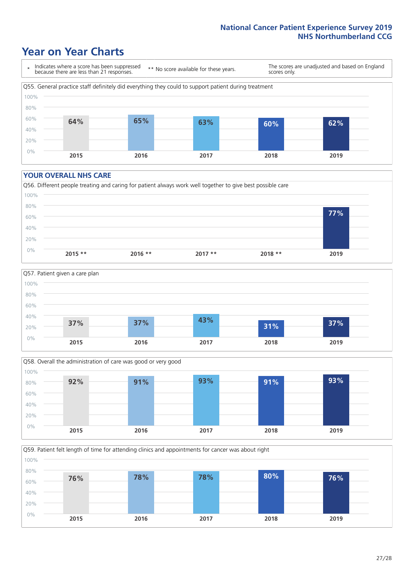# **Year on Year Charts**

\* Indicates where a score has been suppressed because there are less than 21 responses.

\*\* No score available for these years.

The scores are unadjusted and based on England scores only.



#### **YOUR OVERALL NHS CARE**







Q59. Patient felt length of time for attending clinics and appointments for cancer was about right 80% 100%